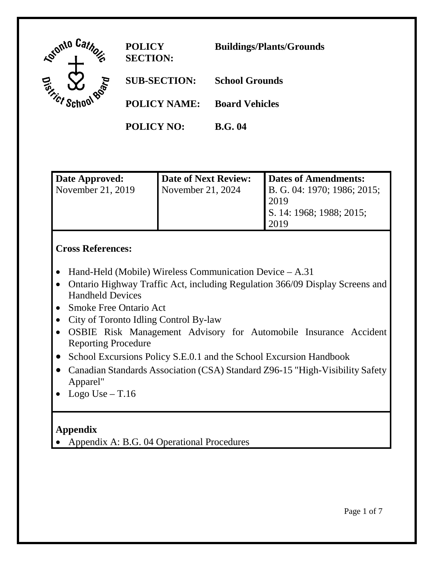

| Date Approved:    | Date of Next Review: | Dates of Amendments:        |
|-------------------|----------------------|-----------------------------|
| November 21, 2019 | November 21, $2024$  | B. G. 04: 1970; 1986; 2015; |
|                   |                      | 2019                        |
|                   |                      | S. 14: 1968; 1988; 2015;    |
|                   |                      | 2019                        |

## **Cross References:**

- Hand-Held (Mobile) Wireless Communication Device A.31
- Ontario Highway Traffic Act, including Regulation 366/09 Display Screens and Handheld Devices
- Smoke Free Ontario Act
- City of Toronto Idling Control By-law
- OSBIE Risk Management Advisory for Automobile Insurance Accident Reporting Procedure
- School Excursions Policy S.E.0.1 and the School Excursion Handbook
- Canadian Standards Association (CSA) Standard Z96-15 "High-Visibility Safety Apparel"
- Logo Use  $T.16$

# **Appendix**

• Appendix A: B.G. 04 Operational Procedures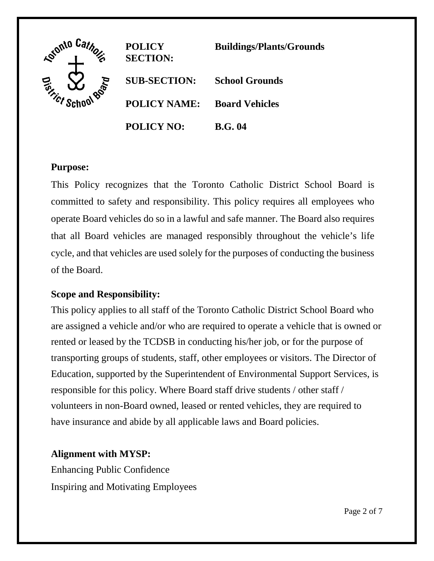

## **Purpose:**

This Policy recognizes that the Toronto Catholic District School Board is committed to safety and responsibility. This policy requires all employees who operate Board vehicles do so in a lawful and safe manner. The Board also requires that all Board vehicles are managed responsibly throughout the vehicle's life cycle, and that vehicles are used solely for the purposes of conducting the business of the Board.

### **Scope and Responsibility:**

This policy applies to all staff of the Toronto Catholic District School Board who are assigned a vehicle and/or who are required to operate a vehicle that is owned or rented or leased by the TCDSB in conducting his/her job, or for the purpose of transporting groups of students, staff, other employees or visitors. The Director of Education, supported by the Superintendent of Environmental Support Services, is responsible for this policy. Where Board staff drive students / other staff / volunteers in non-Board owned, leased or rented vehicles, they are required to have insurance and abide by all applicable laws and Board policies.

### **Alignment with MYSP:**

Enhancing Public Confidence Inspiring and Motivating Employees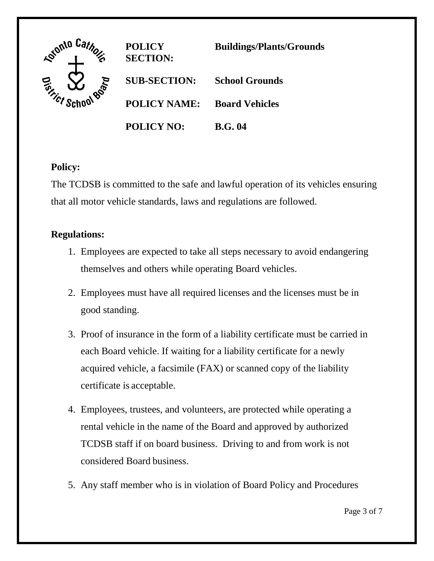

## **Policy:**

The TCDSB is committed to the safe and lawful operation of its vehicles ensuring that all motor vehicle standards, laws and regulations are followed.

## **Regulations:**

- 1. Employees are expected to take all steps necessary to avoid endangering themselves and others while operating Board vehicles.
- 2. Employees must have all required licenses and the licenses must be in good standing.
- 3. Proof of insurance in the form of a liability certificate must be carried in each Board vehicle. If waiting for a liability certificate for a newly acquired vehicle, a facsimile (FAX) or scanned copy of the liability certificate is acceptable.
- 4. Employees, trustees, and volunteers, are protected while operating a rental vehicle in the name of the Board and approved by authorized TCDSB staff if on board business. Driving to and from work is not considered Board business.
- 5. Any staff member who is in violation of Board Policy and Procedures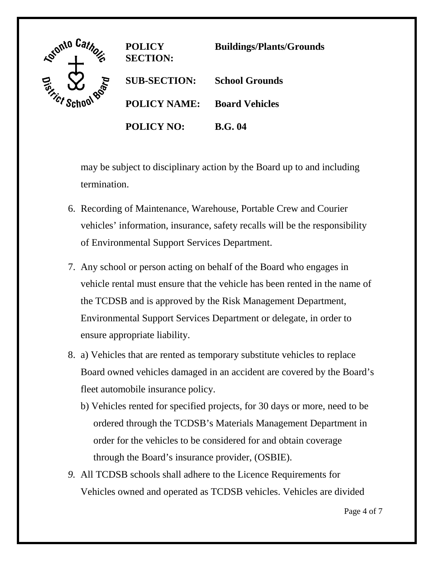

**POLICY SECTION: Buildings/Plants/Grounds SUB-SECTION: School Grounds POLICY NAME: Board Vehicles POLICY NO: B.G. 04**

may be subject to disciplinary action by the Board up to and including termination.

- 6. Recording of Maintenance, Warehouse, Portable Crew and Courier vehicles' information, insurance, safety recalls will be the responsibility of Environmental Support Services Department.
- 7. Any school or person acting on behalf of the Board who engages in vehicle rental must ensure that the vehicle has been rented in the name of the TCDSB and is approved by the Risk Management Department, Environmental Support Services Department or delegate, in order to ensure appropriate liability.
- 8. a) Vehicles that are rented as temporary substitute vehicles to replace Board owned vehicles damaged in an accident are covered by the Board's fleet automobile insurance policy.
	- b) Vehicles rented for specified projects, for 30 days or more, need to be ordered through the TCDSB's Materials Management Department in order for the vehicles to be considered for and obtain coverage through the Board's insurance provider, (OSBIE).
- *9.* All TCDSB schools shall adhere to the Licence Requirements for Vehicles owned and operated as TCDSB vehicles. Vehicles are divided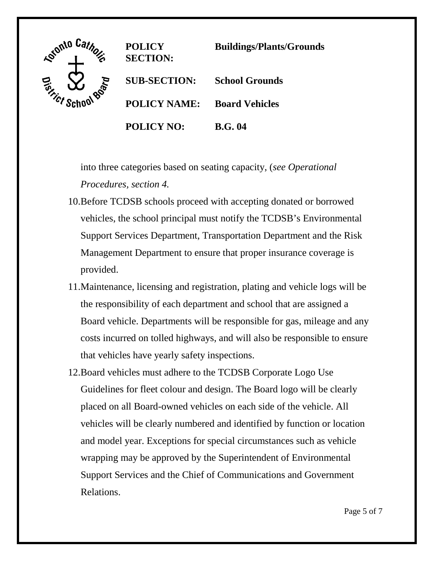

**POLICY SECTION: Buildings/Plants/Grounds SUB-SECTION: School Grounds POLICY NAME: Board Vehicles POLICY NO: B.G. 04**

into three categories based on seating capacity, (*see Operational Procedures, section 4.* 

- 10.Before TCDSB schools proceed with accepting donated or borrowed vehicles, the school principal must notify the TCDSB's Environmental Support Services Department, Transportation Department and the Risk Management Department to ensure that proper insurance coverage is provided.
- 11.Maintenance, licensing and registration, plating and vehicle logs will be the responsibility of each department and school that are assigned a Board vehicle. Departments will be responsible for gas, mileage and any costs incurred on tolled highways, and will also be responsible to ensure that vehicles have yearly safety inspections.
- 12.Board vehicles must adhere to the TCDSB Corporate Logo Use Guidelines for fleet colour and design. The Board logo will be clearly placed on all Board-owned vehicles on each side of the vehicle. All vehicles will be clearly numbered and identified by function or location and model year. Exceptions for special circumstances such as vehicle wrapping may be approved by the Superintendent of Environmental Support Services and the Chief of Communications and Government Relations.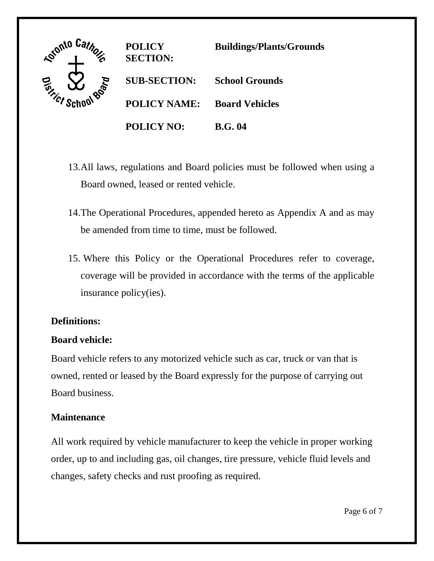

- 13.All laws, regulations and Board policies must be followed when using a Board owned, leased or rented vehicle.
- 14.The Operational Procedures, appended hereto as Appendix A and as may be amended from time to time, must be followed.
- 15. Where this Policy or the Operational Procedures refer to coverage, coverage will be provided in accordance with the terms of the applicable insurance policy(ies).

### **Definitions:**

### **Board vehicle:**

Board vehicle refers to any motorized vehicle such as car, truck or van that is owned, rented or leased by the Board expressly for the purpose of carrying out Board business.

### **Maintenance**

All work required by vehicle manufacturer to keep the vehicle in proper working order, up to and including gas, oil changes, tire pressure, vehicle fluid levels and changes, safety checks and rust proofing as required.